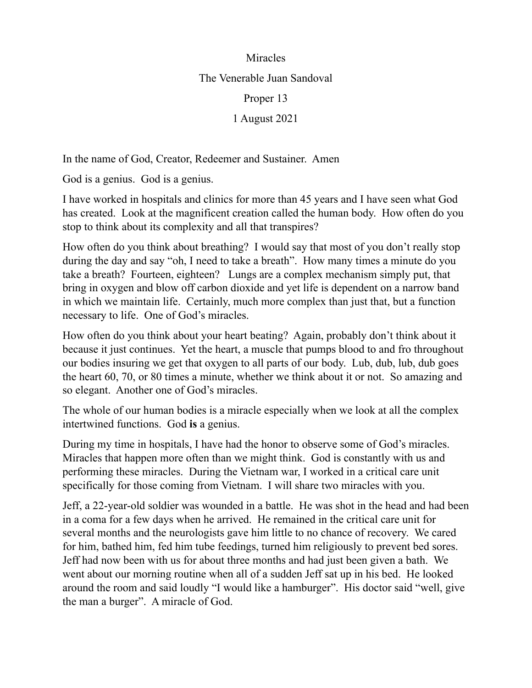## Miracles

The Venerable Juan Sandoval

Proper 13

1 August 2021

In the name of God, Creator, Redeemer and Sustainer. Amen

God is a genius. God is a genius.

I have worked in hospitals and clinics for more than 45 years and I have seen what God has created. Look at the magnificent creation called the human body. How often do you stop to think about its complexity and all that transpires?

How often do you think about breathing? I would say that most of you don't really stop during the day and say "oh, I need to take a breath". How many times a minute do you take a breath? Fourteen, eighteen? Lungs are a complex mechanism simply put, that bring in oxygen and blow off carbon dioxide and yet life is dependent on a narrow band in which we maintain life. Certainly, much more complex than just that, but a function necessary to life. One of God's miracles.

How often do you think about your heart beating? Again, probably don't think about it because it just continues. Yet the heart, a muscle that pumps blood to and fro throughout our bodies insuring we get that oxygen to all parts of our body. Lub, dub, lub, dub goes the heart 60, 70, or 80 times a minute, whether we think about it or not. So amazing and so elegant. Another one of God's miracles.

The whole of our human bodies is a miracle especially when we look at all the complex intertwined functions. God **is** a genius.

During my time in hospitals, I have had the honor to observe some of God's miracles. Miracles that happen more often than we might think. God is constantly with us and performing these miracles. During the Vietnam war, I worked in a critical care unit specifically for those coming from Vietnam. I will share two miracles with you.

Jeff, a 22-year-old soldier was wounded in a battle. He was shot in the head and had been in a coma for a few days when he arrived. He remained in the critical care unit for several months and the neurologists gave him little to no chance of recovery. We cared for him, bathed him, fed him tube feedings, turned him religiously to prevent bed sores. Jeff had now been with us for about three months and had just been given a bath. We went about our morning routine when all of a sudden Jeff sat up in his bed. He looked around the room and said loudly "I would like a hamburger". His doctor said "well, give the man a burger". A miracle of God.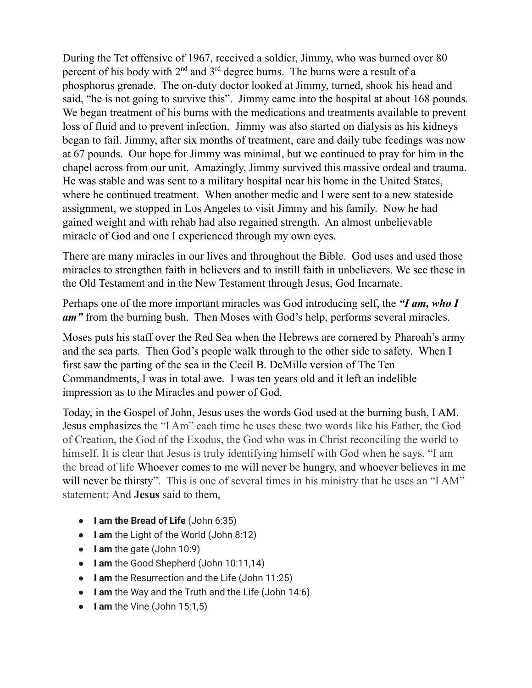During the Tet offensive of 1967, received a soldier, Jimmy, who was burned over 80 percent of his body with  $2<sup>nd</sup>$  and  $3<sup>rd</sup>$  degree burns. The burns were a result of a phosphorus grenade. The on-duty doctor looked at Jimmy, turned, shook his head and said, "he is not going to survive this". Jimmy came into the hospital at about 168 pounds. We began treatment of his burns with the medications and treatments available to prevent loss of fluid and to prevent infection. Jimmy was also started on dialysis as his kidneys began to fail. Jimmy, after six months of treatment, care and daily tube feedings was now at 67 pounds. Our hope for Jimmy was minimal, but we continued to pray for him in the chapel across from our unit. Amazingly, Jimmy survived this massive ordeal and trauma. He was stable and was sent to a military hospital near his home in the United States, where he continued treatment. When another medic and I were sent to a new stateside assignment, we stopped in Los Angeles to visit Jimmy and his family. Now he had gained weight and with rehab had also regained strength. An almost unbelievable miracle of God and one I experienced through my own eyes.

There are many miracles in our lives and throughout the Bible. God uses and used those miracles to strengthen faith in believers and to instill faith in unbelievers. We see these in the Old Testament and in the New Testament through Jesus, God Incarnate.

Perhaps one of the more important miracles was God introducing self, the *"I am, who I am"* from the burning bush. Then Moses with God's help, performs several miracles.

Moses puts his staff over the Red Sea when the Hebrews are cornered by Pharoah's army and the sea parts. Then God's people walk through to the other side to safety. When I first saw the parting of the sea in the Cecil B. DeMille version of The Ten Commandments, I was in total awe. I was ten years old and it left an indelible impression as to the Miracles and power of God.

Today, in the Gospel of John, Jesus uses the words God used at the burning bush, I AM. Jesus emphasizes the "I Am" each time he uses these two words like his Father, the God of Creation, the God of the Exodus, the God who was in Christ reconciling the world to himself. It is clear that Jesus is truly identifying himself with God when he says, "I am the bread of life Whoever comes to me will never be hungry, and whoever believes in me will never be thirsty". This is one of several times in his ministry that he uses an "I AM" statement: And **Jesus** said to them,

- **I am the Bread of Life** (John 6:35)
- **I am** the Light of the World (John 8:12)
- **I am** the gate (John 10:9)
- **I am** the Good Shepherd (John 10:11,14)
- **I am** the Resurrection and the Life (John 11:25)
- **I am** the Way and the Truth and the Life (John 14:6)
- **I am** the Vine (John 15:1,5)